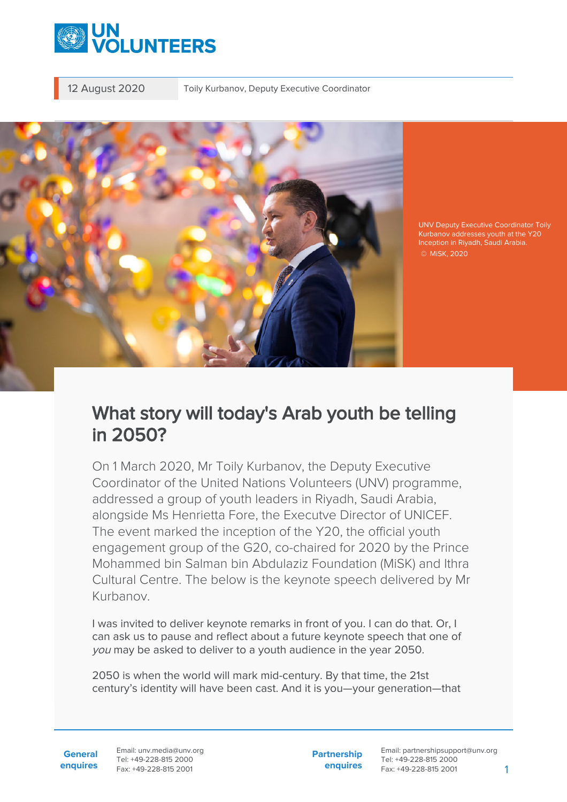

12 August 2020 Toily Kurbanov, Deputy Executive Coordinator



UNV Deputy Executive Coordinator Toily Kurbanov addresses youth at the Y20 Inception in Riyadh, Saudi Arabia. © MiSK, 2020

## What story will today's Arab youth be telling in 2050?

On 1 March 2020, Mr Toily Kurbanov, the Deputy Executive Coordinator of the United Nations Volunteers (UNV) programme, addressed a group of youth leaders in Riyadh, Saudi Arabia, alongside Ms Henrietta Fore, the Executve Director of UNICEF. The event marked the inception of the Y20, the official youth engagement group of the G20, co-chaired for 2020 by the Prince Mohammed bin Salman bin Abdulaziz Foundation (MiSK) and Ithra Cultural Centre. The below is the keynote speech delivered by Mr Kurbanov.

I was invited to deliver keynote remarks in front of you. I can do that. Or, I can ask us to pause and reflect about a future keynote speech that one of you may be asked to deliver to a youth audience in the year 2050.

2050 is when the world will mark mid-century. By that time, the 21st century's identity will have been cast. And it is you—your generation—that

**General enquires** Email: unv.media@unv.org Tel: +49-228-815 2000 Fax: +49-228-815 2001

**Partnership enquires**

Email: partnershipsupport@unv.org Tel: +49-228-815 2000 Fax: +49-228-815 2001 1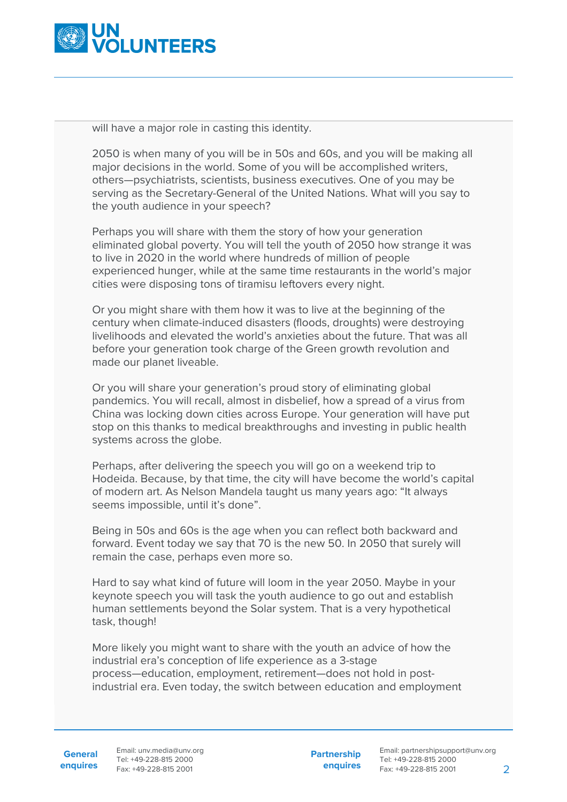

will have a major role in casting this identity.

2050 is when many of you will be in 50s and 60s, and you will be making all major decisions in the world. Some of you will be accomplished writers, others—psychiatrists, scientists, business executives. One of you may be serving as the Secretary-General of the United Nations. What will you say to the youth audience in your speech?

Perhaps you will share with them the story of how your generation eliminated global poverty. You will tell the youth of 2050 how strange it was to live in 2020 in the world where hundreds of million of people experienced hunger, while at the same time restaurants in the world's major cities were disposing tons of tiramisu leftovers every night.

Or you might share with them how it was to live at the beginning of the century when climate-induced disasters (floods, droughts) were destroying livelihoods and elevated the world's anxieties about the future. That was all before your generation took charge of the Green growth revolution and made our planet liveable.

Or you will share your generation's proud story of eliminating global pandemics. You will recall, almost in disbelief, how a spread of a virus from China was locking down cities across Europe. Your generation will have put stop on this thanks to medical breakthroughs and investing in public health systems across the globe.

Perhaps, after delivering the speech you will go on a weekend trip to Hodeida. Because, by that time, the city will have become the world's capital of modern art. As Nelson Mandela taught us many years ago: "It always seems impossible, until it's done".

Being in 50s and 60s is the age when you can reflect both backward and forward. Event today we say that 70 is the new 50. In 2050 that surely will remain the case, perhaps even more so.

Hard to say what kind of future will loom in the year 2050. Maybe in your keynote speech you will task the youth audience to go out and establish human settlements beyond the Solar system. That is a very hypothetical task, though!

More likely you might want to share with the youth an advice of how the industrial era's conception of life experience as a 3-stage process—education, employment, retirement—does not hold in postindustrial era. Even today, the switch between education and employment

**Partnership enquires**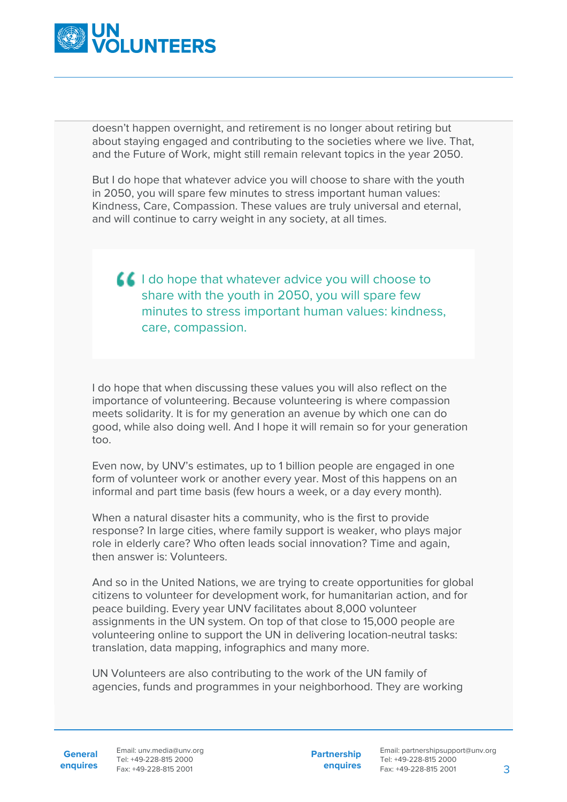

doesn't happen overnight, and retirement is no longer about retiring but about staying engaged and contributing to the societies where we live. That, and the Future of Work, might still remain relevant topics in the year 2050.

But I do hope that whatever advice you will choose to share with the youth in 2050, you will spare few minutes to stress important human values: Kindness, Care, Compassion. These values are truly universal and eternal, and will continue to carry weight in any society, at all times.

## $\blacksquare$  I do hope that whatever advice you will choose to share with the youth in 2050, you will spare few minutes to stress important human values: kindness, care, compassion.

I do hope that when discussing these values you will also reflect on the importance of volunteering. Because volunteering is where compassion meets solidarity. It is for my generation an avenue by which one can do good, while also doing well. And I hope it will remain so for your generation too.

Even now, by UNV's estimates, up to 1 billion people are engaged in one form of volunteer work or another every year. Most of this happens on an informal and part time basis (few hours a week, or a day every month).

When a natural disaster hits a community, who is the first to provide response? In large cities, where family support is weaker, who plays major role in elderly care? Who often leads social innovation? Time and again, then answer is: Volunteers.

And so in the United Nations, we are trying to create opportunities for global citizens to volunteer for development work, for humanitarian action, and for peace building. Every year UNV facilitates about 8,000 volunteer assignments in the UN system. On top of that close to 15,000 people are volunteering online to support the UN in delivering location-neutral tasks: translation, data mapping, infographics and many more.

UN Volunteers are also contributing to the work of the UN family of agencies, funds and programmes in your neighborhood. They are working

General Email: unv.media@unv.org **enquires** Fax: +49-228-815 2001 Tel: +49-228-815 2000

**Partnership enquires**

Email: partnershipsupport@unv.org Tel: +49-228-815 2000 Fax: +49-228-815 2001 3